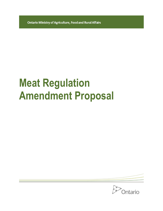**Ontario Ministry of Agriculture, Food and Rural Affairs** 

# **Meat Regulation Amendment Proposal**



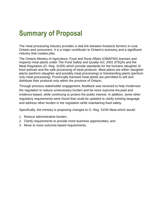## **Summary of Proposal**

The meat processing industry provides a vital link between livestock farmers in rural Ontario and consumers. It is a major contributor to Ontario's economy and a significant industry that creates jobs.

The Ontario Ministry of Agriculture, Food and Rural Affairs (OMAFRA) licenses and inspects meat plants under *The Food Safety and Quality Act, 2001* (FSQA) and the Meat Regulation (O. Reg. 31/05) which provide standards for the humane slaughter of food animals and the safe processing of meat products. Meat plants are either slaughter plants (perform slaughter and possibly meat processing) or freestanding plants (perform only meat processing). Provincially licensed meat plants are permitted to sell and distribute their products only within the province of Ontario.

Through previous stakeholder engagement, feedback was received to help modernize the regulation to reduce unnecessary burden and be more outcome-focused and evidence-based, while continuing to protect the public interest. In addition, some other regulatory requirements were found that could be updated to clarify existing language and address other burden in the regulation while maintaining food safety.

Specifically, the ministry is proposing changes to O. Reg. 31/05 Meat which would:

- 1. Reduce administrative burden;
- 2. Clarify requirements to provide more business opportunities; and
- 3. Move to more outcome-based requirements.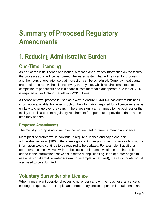## **Summary of Proposed Regulatory Amendments**

## **1. Reducing Administrative Burden**

## **One-Time Licensing**

As part of the initial licence application, a meat plant provides information on the facility, the processes that will be performed, the water system that will be used for processing and the hours of operation so that inspection can be scheduled. Currently meat plants are required to renew their licence every three years, which requires resources for the completion of paperwork and is a financial cost for meat plant operators. A fee of \$300 is required under Ontario Regulation 223/05 Fees.

A licence renewal process is used as a way to ensure OMAFRA has current business information available, however, much of the information required for a licence renewal is unlikely to change over the years. If there are significant changes to the business or the facility there is a current regulatory requirement for operators to provide updates at the time they happen.

#### **Proposed Amendments**

The ministry is proposing to remove the requirement to renew a meat plant licence.

Meat plant operators would continue to require a licence and pay a one-time administrative fee of \$300. If there are significant changes to the business or facility, this information would continue to be required to be updated. For example, if additional operators become involved with the business, their names would be required to be added to the information that was submitted during licensing. If an operator begins to use a new or alternative water system (for example, a new well), then this update would also need to be submitted.

## **Voluntary Surrender of a Licence**

When a meat plant operator chooses to no longer carry on their business, a licence is no longer required. For example, an operator may decide to pursue federal meat plant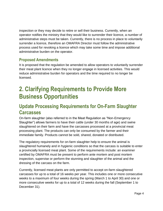inspection or they may decide to retire or sell their business. Currently, when an operator notifies the ministry that they would like to surrender their licence, a number of administrative steps must be taken. Currently, there is no process in place to voluntarily surrender a licence, therefore an OMAFRA Director must follow the administrative process used for revoking a licence which may take some time and impose additional administrative burden on the operator.

#### **Proposed Amendments**

It is proposed that the regulation be amended to allow operators to voluntarily surrender their meat plant licence when they no longer engage in licensed activities. This would reduce administrative burden for operators and the time required to no longer be licensed.

## **2. Clarifying Requirements to Provide More Business Opportunities**

### **Update Processing Requirements for On-Farm Slaughter Carcasses**

On-farm slaughter (also referred to in the Meat Regulation as "Non-Emergency Slaughter") allows farmers to have their cattle (under 30 months of age) and swine slaughtered on their farm and have the carcasses processed at a provincial meat processing plant. The products can only be consumed by the farmer and their immediate family. Products cannot be sold, shared, donated or distributed.

The regulatory requirements for on-farm slaughter help to ensure the animal is slaughtered humanely and in hygienic conditions so that the carcass is suitable to enter a provincially licensed meat plant. Some of the requirements include: an examiner certified by OMAFRA must be present to perform ante mortem and post mortem inspection, supervise or perform the stunning and slaughter of the animal and the dressing of the carcass on the farm.

Currently, licensed meat plants are only permitted to accept on-farm slaughtered carcasses for up to a total of 16 weeks per year. This includes one or more consecutive weeks to a maximum of four weeks during the spring (March 1 to April 30) and one or more consecutive weeks for up to a total of 12 weeks during the fall (September 1 to December 31).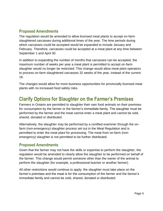#### **Proposed Amendments**

The regulation would be amended to allow licensed meat plants to accept on-farm slaughtered carcasses during additional times of the year. The time periods during which carcasses could be accepted would be expanded to include January and February. Therefore, carcasses could be accepted at a meat plant at any time between September 1 and April 30.

In addition to expanding the number of months that carcasses can be accepted, the maximum number of weeks per year a meat plant is permitted to accept on-farm slaughter would no longer be restricted. This change would allow meat plant operators to process on-farm slaughtered carcasses 32 weeks of the year, instead of the current 16.

The changes would allow for more business opportunities for provincially licensed meat plants with no increased food safety risks.

### **Clarify Options for Slaughter on the Farmer's Premises**

Farmers in Ontario are permitted to slaughter their own food animals on their premises for consumption by the farmer or the farmer's immediate family. The slaughter must be performed by the farmer and the meat cannot enter a meat plant and cannot be sold, shared, donated or distributed.

Alternatively, the slaughter may be performed by a certified examiner through the onfarm (non-emergency) slaughter process set out in the Meat Regulation and is permitted to enter the meat plant for processing. The meat from on-farm (nonemergency) slaughter is not permitted to be further distributed.

#### **Proposed Amendments**

Given that the farmer may not have the skills or expertise to perform the slaughter, the regulation would be amended to clearly allow the slaughter to be performed on behalf of the farmer. This change would permit someone other than the owner of the animal to perform the slaughter (for example, a professional butcher or another farmer).

All other restrictions would continue to apply: the slaughter must take place on the farmer's premises and the meat is for the consumption of the farmer and the farmer's immediate family and cannot be sold, shared, donated or distributed.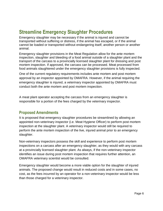## **Streamline Emergency Slaughter Procedures**

Emergency slaughter may be necessary if the animal is injured and cannot be transported without suffering or distress, if the animal has escaped, or if the animal cannot be loaded or transported without endangering itself, another person or another animal.

Emergency slaughter provisions in the Meat Regulation allow for the ante mortem inspection, slaughter and bleeding of a food animal outside of a slaughter plant and the transport of the carcass to a provincially licensed slaughter plant for dressing and post mortem inspection. If approved, the carcass can be processed. Meat processed from food animals slaughtered under the emergency slaughter provisions is fully inspected.

One of the current regulatory requirements includes ante mortem and post mortem approval by an inspector appointed by OMAFRA. However, if the animal requiring the emergency slaughter is injured, a veterinary inspector appointed by OMAFRA must conduct both the ante mortem and post mortem inspection.

A meat plant operator accepting the carcass from an emergency slaughter is responsible for a portion of the fees charged by the veterinary inspector.

#### **Proposed Amendments**

It is proposed that emergency slaughter procedures be streamlined by allowing an appointed non-veterinary inspector (i.e. Meat Hygiene Officer) to perform post mortem inspection at the slaughter plant. A veterinary inspector would still be required to perform the ante mortem inspection of the live, injured animal prior to an emergency slaughter.

Non-veterinary inspectors possess the skill and experience to perform post mortem inspections on a carcass after an emergency slaughter, as they would with any carcass at a provincially licensed slaughter plant. As always, if the non-veterinary inspector identifies an issue during post mortem inspection that requires further attention, an OMAFRA veterinary scientist would be consulted.

Emergency slaughter would become a more viable option for the slaughter of injured animals. The proposed change would result in reduced costs and in some cases, no cost, as the fees incurred by an operator for a non-veterinary inspector would be less than those charged for a veterinary inspector.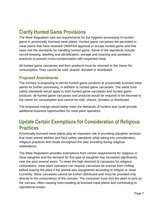## **Clarify Hunted Game Provisions**

The Meat Regulation sets out requirements for the hygienic processing of hunted game in provincially licensed meat plants. Hunted game carcasses are permitted in meat plants that have received OMAFRA approval to accept hunted game and that have met the standards for handling hunted game. Some of the standards include: record-keeping, labelling and identification, storage and cleaning and sanitation practices to prevent cross-contamination with inspected meat.

All hunted game carcasses and their products must be returned to the owner for consumption. They cannot be sold, shared, donated or distributed.

#### **Proposed Amendments**

The ministry is proposing to permit hunted game *products* at provincially licensed meat plants for further processing, in addition to hunted game carcasses. The same food safety standards would apply to both hunted game carcasses and hunted game products: all hunted game carcasses and products would be required to be returned to the owner for consumption and cannot be sold, shared, donated or distributed

The proposed change would better meet the demands of hunters and could provide additional business opportunities for meat plant operators.

### **Update Certain Exemptions for Consideration of Religious Practices**

Provincially licensed meat plants play an important role in providing slaughter services that meet animal welfare and food safety standards while taking into consideration, religious practices and rituals throughout the year including during religious celebrations.

The Meat Regulation provides exemptions from certain requirements for religious or ritual slaughter and the demand for this type of slaughter has increased significantly over the past several years. To meet the high demand of carcasses for religious celebrations, meat plant operators can request carcasses be exempt from chilling before leaving the plant if the animal was slaughtered according to religion or ritual. Currently, these carcasses cannot be further distributed and must be provided only directly to the consumer(s) of the carcass. The consumer must visit the plant to pick up the carcass, often causing overcrowding at licensed meat plants and contributing to operational issues.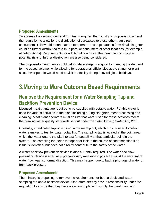#### **Proposed Amendments**

To address the growing demand for ritual slaughter, the ministry is proposing to amend the regulation to allow for the distribution of carcasses to those other than direct consumers. This would mean that the temperature-exempt carcass from ritual slaughter could be further distributed to a third party or consumers at other locations (for example, at celebrations). Requirements for additional controls at the meat plant to mitigate potential risks of further distribution are also being considered.

The proposed amendments could help to deter illegal slaughter by meeting the demand for increased volume, while allowing for operational efficiencies at the slaughter plant since fewer people would need to visit the facility during busy religious holidays.

## **3.Moving to More Outcome Based Requirements**

### **Remove the Requirement for a Water Sampling Tap and Backflow Prevention Device**

Licensed meat plants are required to be supplied with potable water. Potable water is used for various activities in the plant including during slaughter, meat processing and cleaning. Meat plant operators must ensure that water used for these activities meets the drinking water quality standards set out under the *Safe Drinking Water Act, 2002.*

Currently, a dedicated tap is required in the meat plant, which may be used to collect water samples to test for water potability. The sampling tap is located at the point near which the water enters the plant to test for potability at that particular point in the system. The sampling tap helps the operator isolate the source of contamination if an issue is identified, but does not directly contribute to the safety of the water.

A water backflow prevention device is also currently required. The water backflow prevention device is used as a precautionary measure to protect against the reversal of water flow against normal direction. This may happen due to back siphonage of water or from back pressure.

#### **Proposed Amendments**

The ministry is proposing to remove the requirements for both a dedicated water sampling tap and a backflow device. Operators already have a responsibility under the regulation to ensure that they have a system in place to supply the meat plant with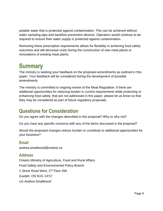potable water that is protected against contamination. This can be achieved without water sampling taps and backflow prevention devices. Operators would continue to be required to ensure their water supply is protected against contamination.

Removing these prescriptive requirements allows for flexibility in achieving food safety outcomes and will decrease costs during the construction of new meat plants or renovations of existing meat plants.

## **Summary**

The ministry is seeking your feedback on the proposed amendments as outlined in this paper. Your feedback will be considered during the development of possible amendments.

The ministry is committed to ongoing review of the Meat Regulation. If there are additional opportunities for reducing burden in current requirements while protecting or enhancing food safety, that are not addressed in this paper, please let us know so that they may be considered as part of future regulatory proposals.

## **Questions for Consideration**

Do you agree with the changes described in this proposal? Why or why not?

Do you have any specific concerns with any of the items discussed in the proposal?

Would the proposed changes reduce burden or contribute to additional opportunities for your business?

#### **Email**

andrea.smallwood@ontario.ca

#### **Address**

Ontario Ministry of Agriculture, Food and Rural Affairs Food Safety and Environmental Policy Branch 1 Stone Road West, 2nd Floor SW Guelph, ON N1G 14Y2 *c/o Andrea Smallwood*